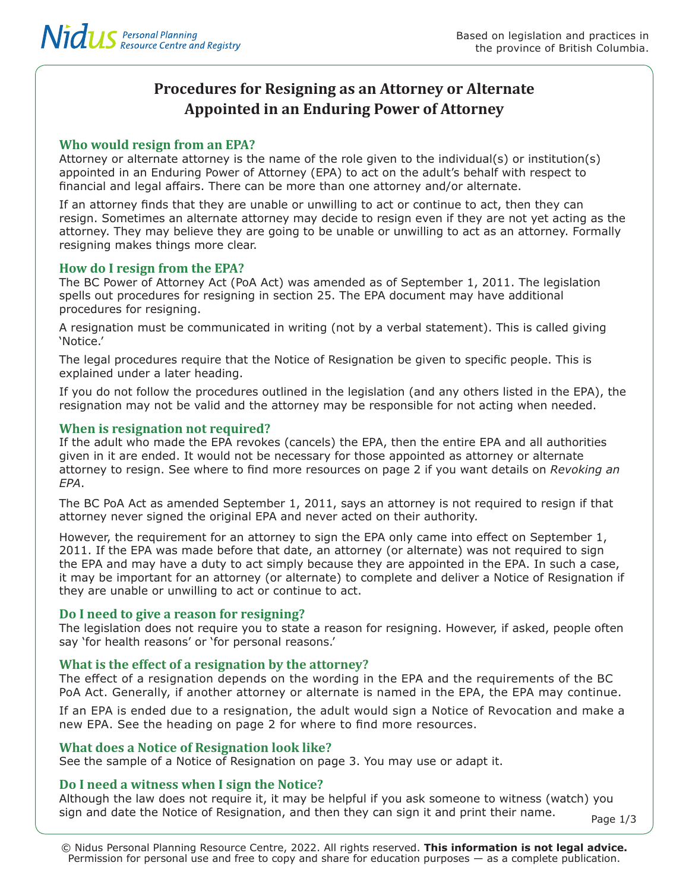# **Procedures for Resigning as an Attorney or Alternate Appointed in an Enduring Power of Attorney**

# **Who would resign from an EPA?**

Attorney or alternate attorney is the name of the role given to the individual(s) or institution(s) appointed in an Enduring Power of Attorney (EPA) to act on the adult's behalf with respect to financial and legal affairs. There can be more than one attorney and/or alternate.

If an attorney finds that they are unable or unwilling to act or continue to act, then they can resign. Sometimes an alternate attorney may decide to resign even if they are not yet acting as the attorney. They may believe they are going to be unable or unwilling to act as an attorney. Formally resigning makes things more clear.

# **How do I resign from the EPA?**

The BC Power of Attorney Act (PoA Act) was amended as of September 1, 2011. The legislation spells out procedures for resigning in section 25. The EPA document may have additional procedures for resigning.

A resignation must be communicated in writing (not by a verbal statement). This is called giving 'Notice.'

The legal procedures require that the Notice of Resignation be given to specific people. This is explained under a later heading.

If you do not follow the procedures outlined in the legislation (and any others listed in the EPA), the resignation may not be valid and the attorney may be responsible for not acting when needed.

# **When is resignation not required?**

If the adult who made the EPA revokes (cancels) the EPA, then the entire EPA and all authorities given in it are ended. It would not be necessary for those appointed as attorney or alternate attorney to resign. See where to find more resources on page 2 if you want details on *Revoking an EPA*.

The BC PoA Act as amended September 1, 2011, says an attorney is not required to resign if that attorney never signed the original EPA and never acted on their authority.

However, the requirement for an attorney to sign the EPA only came into effect on September 1, 2011. If the EPA was made before that date, an attorney (or alternate) was not required to sign the EPA and may have a duty to act simply because they are appointed in the EPA. In such a case, it may be important for an attorney (or alternate) to complete and deliver a Notice of Resignation if they are unable or unwilling to act or continue to act.

# **Do I need to give a reason for resigning?**

The legislation does not require you to state a reason for resigning. However, if asked, people often say 'for health reasons' or 'for personal reasons.'

# **What is the effect of a resignation by the attorney?**

The effect of a resignation depends on the wording in the EPA and the requirements of the BC PoA Act. Generally, if another attorney or alternate is named in the EPA, the EPA may continue.

If an EPA is ended due to a resignation, the adult would sign a Notice of Revocation and make a new EPA. See the heading on page 2 for where to find more resources.

# **What does a Notice of Resignation look like?**

See the sample of a Notice of Resignation on page 3. You may use or adapt it.

# **Do I need a witness when I sign the Notice?**

Although the law does not require it, it may be helpful if you ask someone to witness (watch) you sign and date the Notice of Resignation, and then they can sign it and print their name.  $P_{\text{aqe 1/3}}$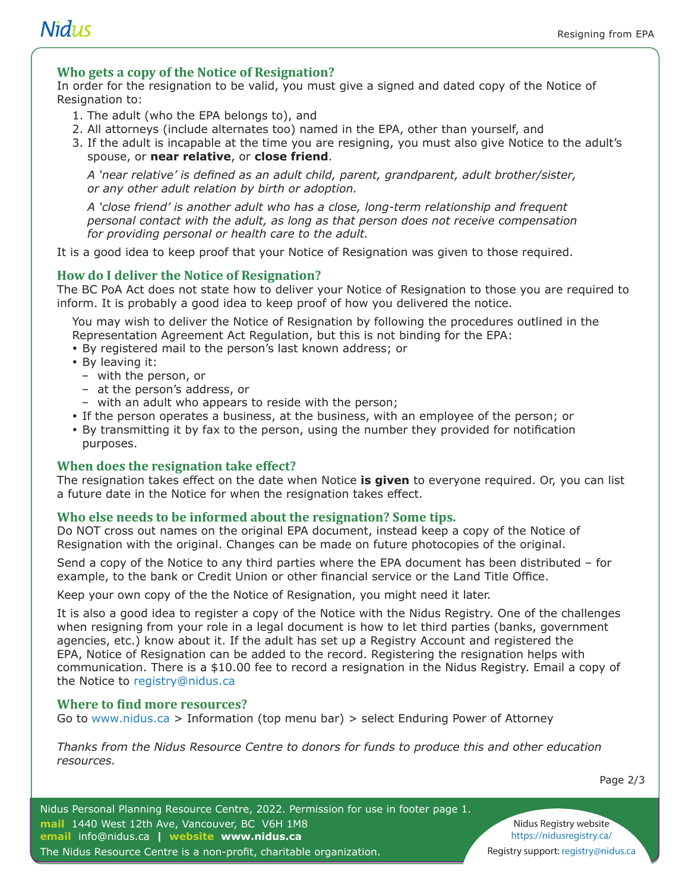# **Nidus**

#### **Who gets a copy of the Notice of Resignation?**

In order for the resignation to be valid, you must give a signed and dated copy of the Notice of Resignation to:

- 1. The adult (who the EPA belongs to), and
- 2. All attorneys (include alternates too) named in the EPA, other than yourself, and
- 3. If the adult is incapable at the time you are resigning, you must also give Notice to the adult's spouse, or **near relative**, or **close friend**.

*A 'near relative' is defined as an adult child, parent, grandparent, adult brother/sister, or any other adult relation by birth or adoption.* 

*A 'close friend' is another adult who has a close, long-term relationship and frequent personal contact with the adult, as long as that person does not receive compensation for providing personal or health care to the adult.*

It is a good idea to keep proof that your Notice of Resignation was given to those required.

#### **How do I deliver the Notice of Resignation?**

The BC PoA Act does not state how to deliver your Notice of Resignation to those you are required to inform. It is probably a good idea to keep proof of how you delivered the notice.

You may wish to deliver the Notice of Resignation by following the procedures outlined in the Representation Agreement Act Regulation, but this is not binding for the EPA:

- y By registered mail to the person's last known address; or
- By leaving it:
	- with the person, or
	- at the person's address, or
	- with an adult who appears to reside with the person;
- If the person operates a business, at the business, with an employee of the person; or
- By transmitting it by fax to the person, using the number they provided for notification purposes.

#### **When does the resignation take effect?**

The resignation takes effect on the date when Notice **is given** to everyone required. Or, you can list a future date in the Notice for when the resignation takes effect.

#### **Who else needs to be informed about the resignation? Some tips.**

Do NOT cross out names on the original EPA document, instead keep a copy of the Notice of Resignation with the original. Changes can be made on future photocopies of the original.

Send a copy of the Notice to any third parties where the EPA document has been distributed – for example, to the bank or Credit Union or other financial service or the Land Title Office.

Keep your own copy of the the Notice of Resignation, you might need it later.

It is also a good idea to register a copy of the Notice with the Nidus Registry. One of the challenges when resigning from your role in a legal document is how to let third parties (banks, government agencies, etc.) know about it. If the adult has set up a Registry Account and registered the EPA, Notice of Resignation can be added to the record. Registering the resignation helps with communication. There is a \$10.00 fee to record a resignation in the Nidus Registry. Email a copy of the Notice to registry@nidus.ca

#### **Where to find more resources?**

Go to www.nidus.ca > Information (top menu bar) > select Enduring Power of Attorney

*Thanks from the Nidus Resource Centre to donors for funds to produce this and other education resources.*

Page 2/3

Nidus Registry website https://nidusregistry.ca/ Registry support: registry@nidus.ca